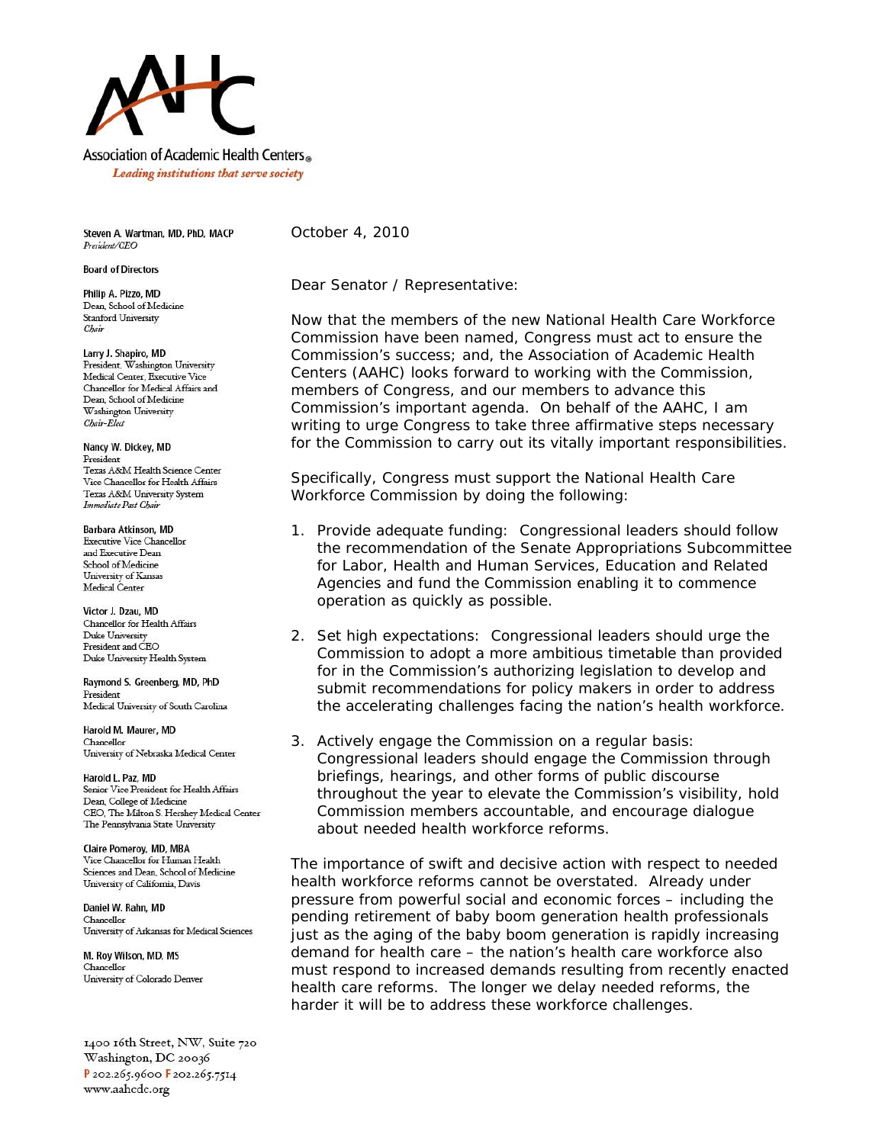

Leading institutions that serve society

Steven A. Wartman, MD, PhD, MACP President/CEO

**Board of Directors** 

Philip A. Pizzo, MD Dean, School of Medicine **Stanford University** Chair

Larry J. Shapiro, MD President, Washington University Medical Center, Executive Vice Chancellor for Medical Affairs and Dean, School of Medicine Washington University Chair-Elect

Nancy W. Dickey, MD President Texas A&M Health Science Center Vice Chancellor for Health Affairs Texas A&M University System Immediate Past Chair

**Barbara Atkinson, MD Executive Vice Chancellor** and Executive Dean School of Medicine University of Kansas Medical Center

Victor J. Dzau, MD Chancellor for Health Affairs Duke University President and CEO Duke University Health System

Raymond S. Greenberg, MD, PhD President Medical University of South Carolina

Harold M. Maurer, MD Chancellor University of Nebraska Medical Center

Harold L. Paz, MD Senior Vice President for Health Affairs Dean, College of Medicine CEO, The Milton S. Hershey Medical Center The Pennsylvania State University

Claire Pomeroy, MD, MBA Vice Chancellor for Human Health Sciences and Dean, School of Medicine University of California, Davis

Daniel W. Rahn, MD Chancellor University of Arkansas for Medical Sciences

M. Roy Wilson, MD, MS Chancellor University of Colorado Denver

1400 16th Street, NW, Suite 720 Washington, DC 20036 P 202.265.9600 F 202.265.7514 www.aahcdc.org

October 4, 2010

Dear Senator / Representative:

Now that the members of the new National Health Care Workforce Commission have been named, Congress must act to ensure the Commission's success; and, the Association of Academic Health Centers (AAHC) looks forward to working with the Commission, members of Congress, and our members to advance this Commission's important agenda. On behalf of the AAHC, I am writing to urge Congress to take three affirmative steps necessary for the Commission to carry out its vitally important responsibilities.

Specifically, Congress must support the National Health Care Workforce Commission by doing the following:

- 1. *Provide adequate funding*: Congressional leaders should follow the recommendation of the Senate Appropriations Subcommittee for Labor, Health and Human Services, Education and Related Agencies and fund the Commission enabling it to commence operation as quickly as possible.
- 2. *Set high expectations*: Congressional leaders should urge the Commission to adopt a more ambitious timetable than provided for in the Commission's authorizing legislation to develop and submit recommendations for policy makers in order to address the accelerating challenges facing the nation's health workforce.
- 3. *Actively engage the Commission on a regular basis*: Congressional leaders should engage the Commission through briefings, hearings, and other forms of public discourse throughout the year to elevate the Commission's visibility, hold Commission members accountable, and encourage dialogue about needed health workforce reforms.

The importance of swift and decisive action with respect to needed health workforce reforms cannot be overstated. Already under pressure from powerful social and economic forces – including the pending retirement of baby boom generation health professionals just as the aging of the baby boom generation is rapidly increasing demand for health care – the nation's health care workforce also must respond to increased demands resulting from recently enacted health care reforms. The longer we delay needed reforms, the harder it will be to address these workforce challenges.